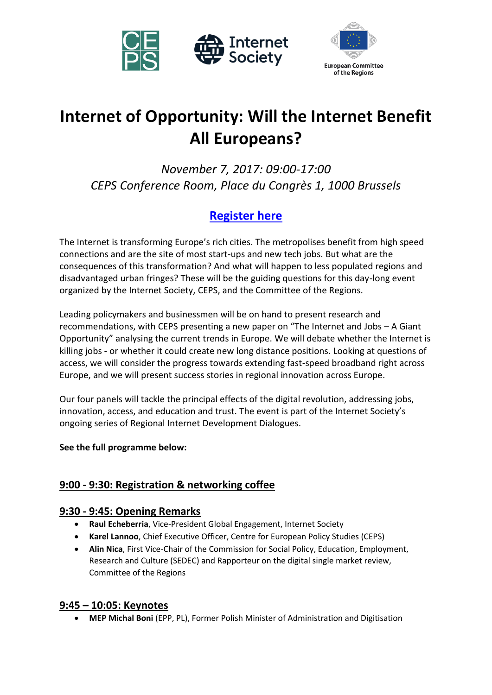



# **Internet of Opportunity: Will the Internet Benefit All Europeans?**

*November 7, 2017: 09:00-17:00 CEPS Conference Room, Place du Congrès 1, 1000 Brussels*

## **[Register here](https://www.internetsociety.org/events/ridd/europe/2017/registration/)**

The Internet is transforming Europe's rich cities. The metropolises benefit from high speed connections and are the site of most start-ups and new tech jobs. But what are the consequences of this transformation? And what will happen to less populated regions and disadvantaged urban fringes? These will be the guiding questions for this day-long event organized by the Internet Society, CEPS, and the Committee of the Regions.

Leading policymakers and businessmen will be on hand to present research and recommendations, with CEPS presenting a new paper on "The Internet and Jobs – A Giant Opportunity" analysing the current trends in Europe. We will debate whether the Internet is killing jobs - or whether it could create new long distance positions. Looking at questions of access, we will consider the progress towards extending fast-speed broadband right across Europe, and we will present success stories in regional innovation across Europe.

Our four panels will tackle the principal effects of the digital revolution, addressing jobs, innovation, access, and education and trust. The event is part of the Internet Society's ongoing series of Regional Internet Development Dialogues.

## **See the full programme below:**

## **9:00 - 9:30: Registration & networking coffee**

## **9:30 - 9:45: Opening Remarks**

- **Raul Echeberria**, Vice-President Global Engagement, Internet Society
- **Karel Lannoo**, Chief Executive Officer, Centre for European Policy Studies (CEPS)
- **Alin Nica**, First Vice-Chair of the Commission for Social Policy, Education, Employment, Research and Culture (SEDEC) and Rapporteur on the digital single market review, Committee of the Regions

## **9:45 – 10:05: Keynotes**

**MEP Michal Boni** (EPP, PL), Former Polish Minister of Administration and Digitisation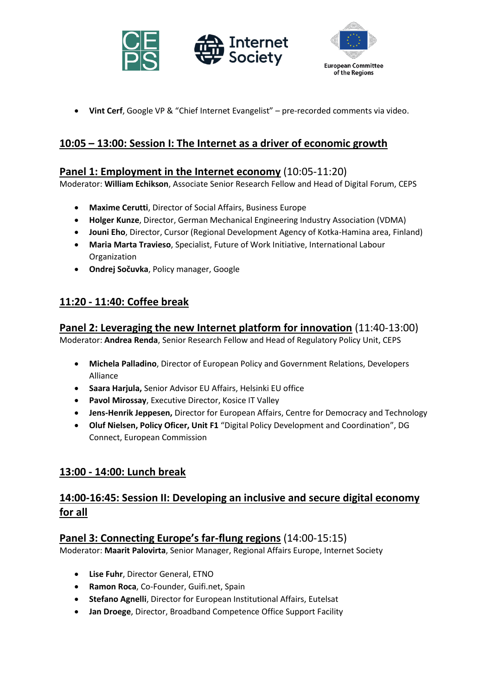



**Vint Cerf**, Google VP & "Chief Internet Evangelist" – pre-recorded comments via video.

## **10:05 – 13:00: Session I: The Internet as a driver of economic growth**

## **Panel 1: Employment in the Internet economy** (10:05-11:20)

Moderator: **William Echikson**, Associate Senior Research Fellow and Head of Digital Forum, CEPS

- **Maxime Cerutti**, Director of Social Affairs, Business Europe
- **Holger Kunze**, Director, German Mechanical Engineering Industry Association (VDMA)
- **Jouni Eho**, Director, Cursor (Regional Development Agency of Kotka-Hamina area, Finland)
- **Maria Marta Travieso**, Specialist, Future of Work Initiative, International Labour Organization
- **Ondrej Sočuvka**, Policy manager, Google

## **11:20 - 11:40: Coffee break**

## **Panel 2: Leveraging the new Internet platform for innovation** (11:40-13:00)

Moderator: **Andrea Renda**, Senior Research Fellow and Head of Regulatory Policy Unit, CEPS

- **Michela Palladino**, Director of European Policy and Government Relations, Developers Alliance
- **Saara Harjula,** Senior Advisor EU Affairs, Helsinki EU office
- **Pavol Mirossay**, Executive Director, Kosice IT Valley
- **Jens-Henrik Jeppesen,** Director for European Affairs, Centre for Democracy and Technology
- **Oluf Nielsen, Policy Oficer, Unit F1** "Digital Policy Development and Coordination", DG Connect, European Commission

## **13:00 - 14:00: Lunch break**

## **14:00-16:45: Session II: Developing an inclusive and secure digital economy for all**

## **Panel 3: Connecting Europe's far-flung regions** (14:00-15:15)

Moderator: **Maarit Palovirta**, Senior Manager, Regional Affairs Europe, Internet Society

- **Lise Fuhr**, Director General, ETNO
- **Ramon Roca**, Co-Founder, Guifi.net, Spain
- **Stefano Agnelli**, Director for European Institutional Affairs, Eutelsat
- **Jan Droege**, Director, Broadband Competence Office Support Facility